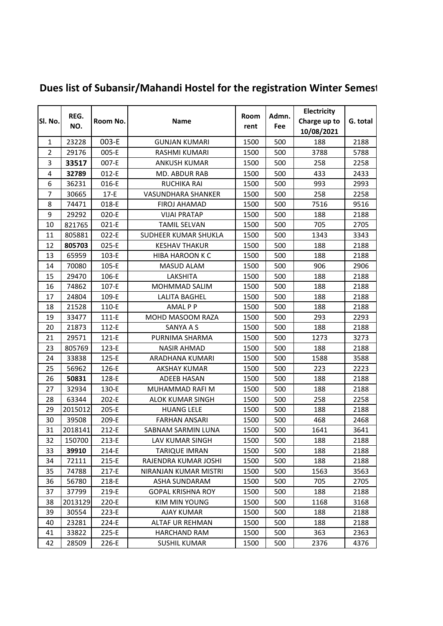| Sl. No.        | REG.<br>NO. | Room No.  | <b>Name</b>               | Room<br>rent | Admn.<br>Fee | Electricity  |          |
|----------------|-------------|-----------|---------------------------|--------------|--------------|--------------|----------|
|                |             |           |                           |              |              | Charge up to | G. total |
|                |             |           |                           |              |              | 10/08/2021   |          |
| $\mathbf{1}$   | 23228       | 003-E     | <b>GUNJAN KUMARI</b>      | 1500         | 500          | 188          | 2188     |
| $\overline{2}$ | 29176       | 005-E     | RASHMI KUMARI             | 1500         | 500          | 3788         | 5788     |
| 3              | 33517       | 007-E     | <b>ANKUSH KUMAR</b>       | 1500         | 500          | 258          | 2258     |
| $\overline{4}$ | 32789       | 012-E     | MD. ABDUR RAB             | 1500         | 500          | 433          | 2433     |
| 6              | 36231       | 016-E     | <b>RUCHIKA RAI</b>        | 1500         | 500          | 993          | 2993     |
| 7              | 30665       | $17-E$    | <b>VASUNDHARA SHANKER</b> | 1500         | 500          | 258          | 2258     |
| 8              | 74471       | 018-E     | <b>FIROJ AHAMAD</b>       | 1500         | 500          | 7516         | 9516     |
| 9              | 29292       | 020-E     | <b>VIJAI PRATAP</b>       | 1500         | 500          | 188          | 2188     |
| 10             | 821765      | $021-E$   | <b>TAMIL SELVAN</b>       | 1500         | 500          | 705          | 2705     |
| 11             | 805881      | 022-E     | SUDHEER KUMAR SHUKLA      | 1500         | 500          | 1343         | 3343     |
| 12             | 805703      | 025-E     | <b>KESHAV THAKUR</b>      | 1500         | 500          | 188          | 2188     |
| 13             | 65959       | 103-E     | <b>HIBA HAROON K C</b>    | 1500         | 500          | 188          | 2188     |
| 14             | 70080       | 105-E     | MASUD ALAM                | 1500         | 500          | 906          | 2906     |
| 15             | 29470       | 106-E     | LAKSHITA                  | 1500         | 500          | 188          | 2188     |
| 16             | 74862       | 107-E     | MOHMMAD SALIM             | 1500         | 500          | 188          | 2188     |
| 17             | 24804       | 109-E     | <b>LALITA BAGHEL</b>      | 1500         | 500          | 188          | 2188     |
| 18             | 21528       | 110-E     | <b>AMALPP</b>             | 1500         | 500          | 188          | 2188     |
| 19             | 33477       | $111-E$   | MOHD MASOOM RAZA          | 1500         | 500          | 293          | 2293     |
| 20             | 21873       | 112-E     | SANYA A S                 | 1500         | 500          | 188          | 2188     |
| 21             | 29571       | 121-E     | PURNIMA SHARMA            | 1500         | 500          | 1273         | 3273     |
| 23             | 805769      | 123-E     | NASIR AHMAD               | 1500         | 500          | 188          | 2188     |
| 24             | 33838       | 125-E     | ARADHANA KUMARI           | 1500         | 500          | 1588         | 3588     |
| 25             | 56962       | 126-E     | <b>AKSHAY KUMAR</b>       | 1500         | 500          | 223          | 2223     |
| 26             | 50831       | 128-E     | <b>ADEEB HASAN</b>        | 1500         | 500          | 188          | 2188     |
| 27             | 32934       | 130-E     | MUHAMMAD RAFI M           | 1500         | 500          | 188          | 2188     |
| 28             | 63344       | 202-E     | <b>ALOK KUMAR SINGH</b>   | 1500         | 500          | 258          | 2258     |
| 29             | 2015012     | 205-E     | <b>HUANG LELE</b>         | 1500         | 500          | 188          | 2188     |
| 30             | 39508       | 209-E     | <b>FARHAN ANSARI</b>      | 1500         | 500          | 468          | 2468     |
| 31             | 2018141     | 212-E     | SABNAM SARMIN LUNA        | 1500         | 500          | 1641         | 3641     |
| 32             | 150700      | 213-E     | LAV KUMAR SINGH           | 1500         | 500          | 188          | 2188     |
| 33             | 39910       | 214-E     | <b>TARIQUE IMRAN</b>      | 1500         | 500          | 188          | 2188     |
| 34             | 72111       | $215 - E$ | RAJENDRA KUMAR JOSHI      | 1500         | 500          | 188          | 2188     |
| 35             | 74788       | 217-E     | NIRANJAN KUMAR MISTRI     | 1500         | 500          | 1563         | 3563     |
| 36             | 56780       | 218-E     | ASHA SUNDARAM             | 1500         | 500          | 705          | 2705     |
| 37             | 37799       | 219-E     | <b>GOPAL KRISHNA ROY</b>  | 1500         | 500          | 188          | 2188     |
| 38             | 2013129     | 220-E     | KIM MIN YOUNG             | 1500         | 500          | 1168         | 3168     |
| 39             | 30554       | 223-E     | <b>AJAY KUMAR</b>         | 1500         | 500          | 188          | 2188     |
| 40             | 23281       | 224-E     | ALTAF UR REHMAN           | 1500         | 500          | 188          | 2188     |
| 41             | 33822       | 225-E     | <b>HARCHAND RAM</b>       | 1500         | 500          | 363          | 2363     |
| 42             | 28509       | 226-E     | <b>SUSHIL KUMAR</b>       | 1500         | 500          | 2376         | 4376     |

## **Dues list of Subansir/Mahandi Hostel for the registration Winter Semest**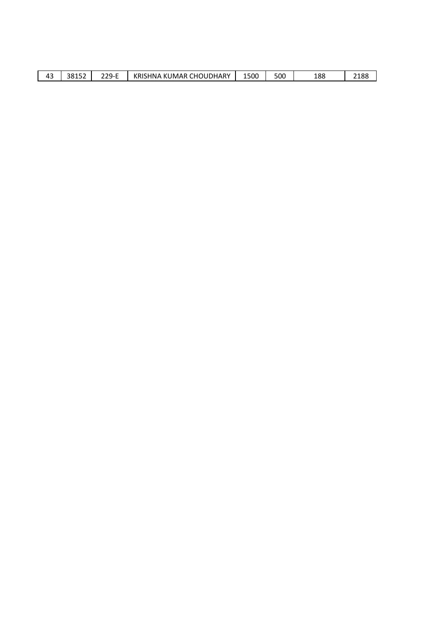| $\sim$<br>∕ı -<br>-<br>т. | 38152 | $229-F$<br>--- -<br>$\sim$ | KRIS<br>.HOUDHARY<br>KUMAR<br>HNA<br>ъm.<br>້ | 1500 | 500 | 188 | ว 1 0 0<br>2100<br>$\sim$ |
|---------------------------|-------|----------------------------|-----------------------------------------------|------|-----|-----|---------------------------|